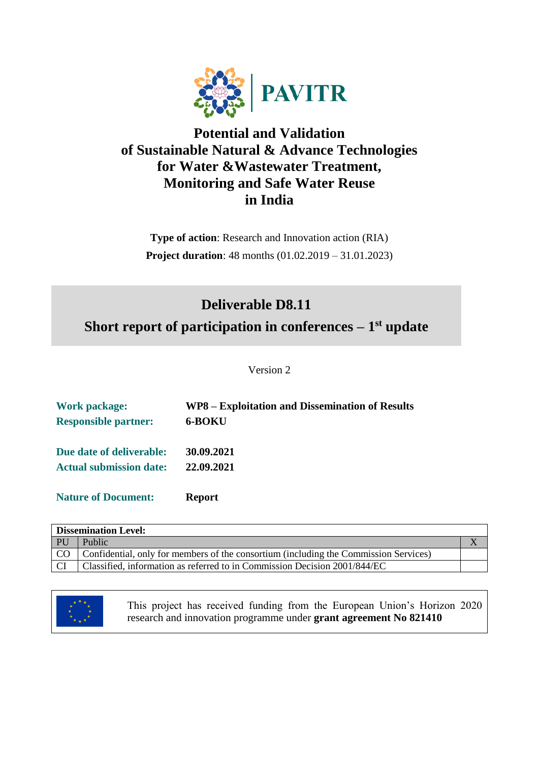

## **Potential and Validation of Sustainable Natural & Advance Technologies for Water &Wastewater Treatment, Monitoring and Safe Water Reuse in India**

**Type of action**: Research and Innovation action (RIA) **Project duration**: 48 months (01.02.2019 – 31.01.2023)

# **Deliverable D8.11**

**Short report of participation in conferences – 1 st update**

Version 2

| <b>Work package:</b>           | WP8 – Exploitation and Dissemination of Results |
|--------------------------------|-------------------------------------------------|
| <b>Responsible partner:</b>    | 6-BOKU                                          |
| Due date of deliverable:       | 30.09.2021                                      |
| <b>Actual submission date:</b> | 22.09.2021                                      |
| <b>Nature of Document:</b>     | <b>Report</b>                                   |

| <b>Dissemination Level:</b> |                                                                                      |  |  |
|-----------------------------|--------------------------------------------------------------------------------------|--|--|
| <b>PU</b>                   | Public                                                                               |  |  |
| CO <sub>1</sub>             | Confidential, only for members of the consortium (including the Commission Services) |  |  |
| CI                          | Classified, information as referred to in Commission Decision 2001/844/EC            |  |  |



This project has received funding from the European Union's Horizon 2020 research and innovation programme under **grant agreement No 821410**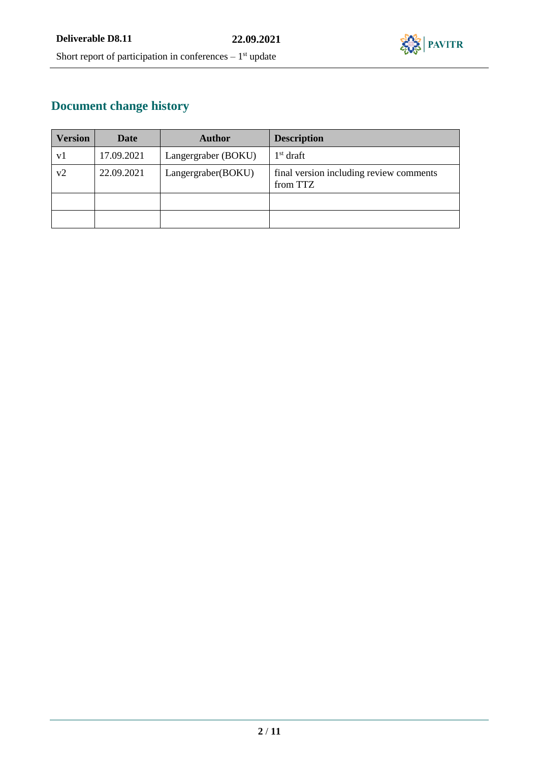

# **Document change history**

| <b>Version</b> | Date       | <b>Author</b>       | <b>Description</b>                                  |
|----------------|------------|---------------------|-----------------------------------------------------|
| v1             | 17.09.2021 | Langergraber (BOKU) | $1st$ draft                                         |
| v2             | 22.09.2021 | Langergraber(BOKU)  | final version including review comments<br>from TTZ |
|                |            |                     |                                                     |
|                |            |                     |                                                     |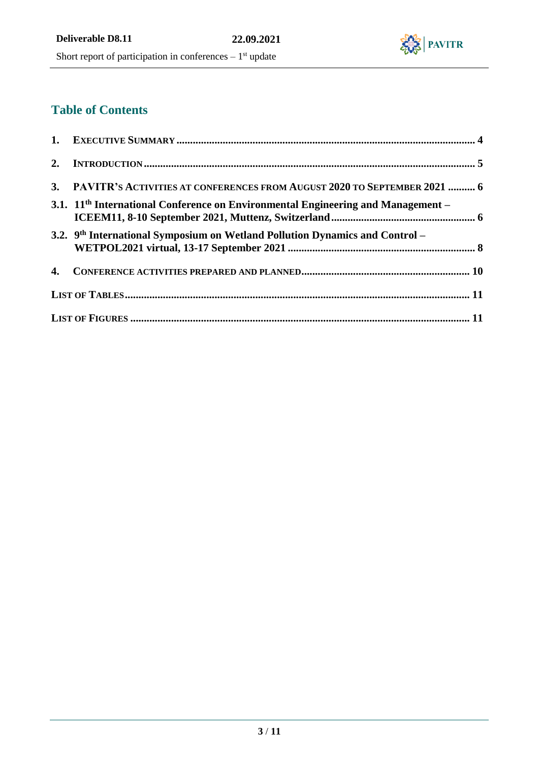

# **Table of Contents**

| 3. PAVITR'S ACTIVITIES AT CONFERENCES FROM AUGUST 2020 TO SEPTEMBER 2021  6              |  |
|------------------------------------------------------------------------------------------|--|
| 3.1. $11th$ International Conference on Environmental Engineering and Management –       |  |
| 3.2. 9 <sup>th</sup> International Symposium on Wetland Pollution Dynamics and Control – |  |
|                                                                                          |  |
|                                                                                          |  |
|                                                                                          |  |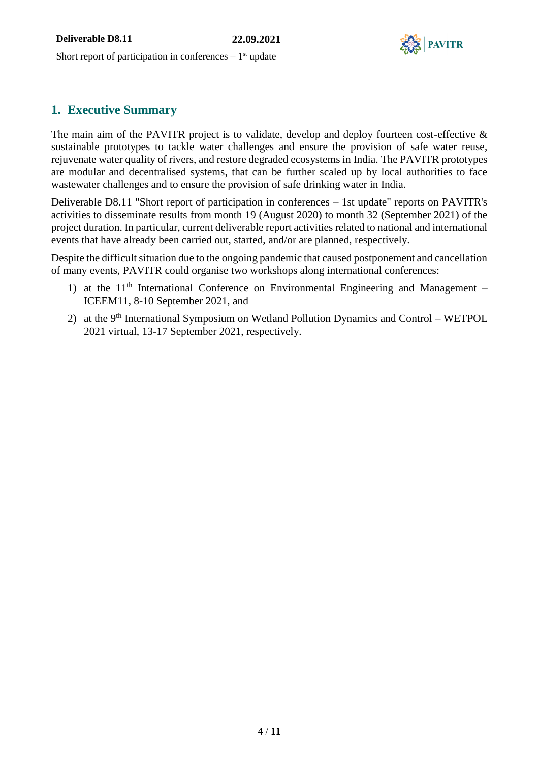

## **1. Executive Summary**

The main aim of the PAVITR project is to validate, develop and deploy fourteen cost-effective & sustainable prototypes to tackle water challenges and ensure the provision of safe water reuse, rejuvenate water quality of rivers, and restore degraded ecosystems in India. The PAVITR prototypes are modular and decentralised systems, that can be further scaled up by local authorities to face wastewater challenges and to ensure the provision of safe drinking water in India.

Deliverable D8.11 "Short report of participation in conferences – 1st update" reports on PAVITR's activities to disseminate results from month 19 (August 2020) to month 32 (September 2021) of the project duration. In particular, current deliverable report activities related to national and international events that have already been carried out, started, and/or are planned, respectively.

Despite the difficult situation due to the ongoing pandemic that caused postponement and cancellation of many events, PAVITR could organise two workshops along international conferences:

- 1) at the  $11<sup>th</sup>$  International Conference on Environmental Engineering and Management ICEEM11, 8-10 September 2021, and
- 2) at the 9<sup>th</sup> International Symposium on Wetland Pollution Dynamics and Control WETPOL 2021 virtual, 13-17 September 2021, respectively.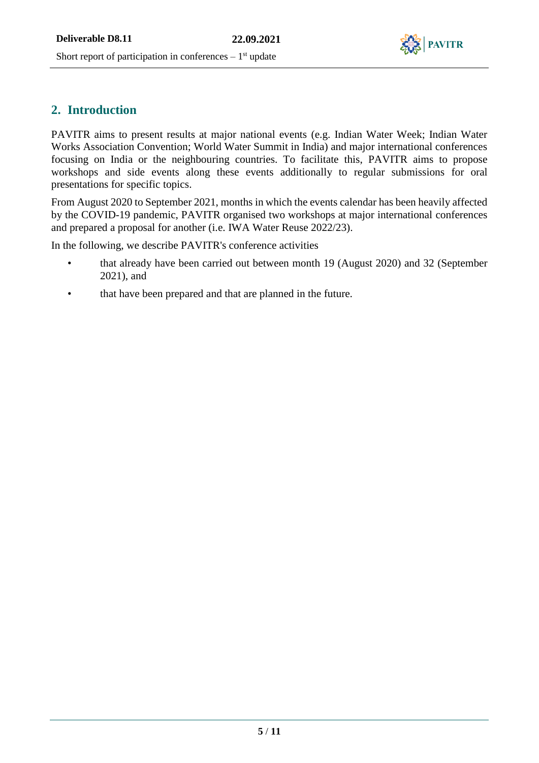

## **2. Introduction**

PAVITR aims to present results at major national events (e.g. Indian Water Week; Indian Water Works Association Convention; World Water Summit in India) and major international conferences focusing on India or the neighbouring countries. To facilitate this, PAVITR aims to propose workshops and side events along these events additionally to regular submissions for oral presentations for specific topics.

From August 2020 to September 2021, months in which the events calendar has been heavily affected by the COVID-19 pandemic, PAVITR organised two workshops at major international conferences and prepared a proposal for another (i.e. IWA Water Reuse 2022/23).

In the following, we describe PAVITR's conference activities

- that already have been carried out between month 19 (August 2020) and 32 (September 2021), and
- that have been prepared and that are planned in the future.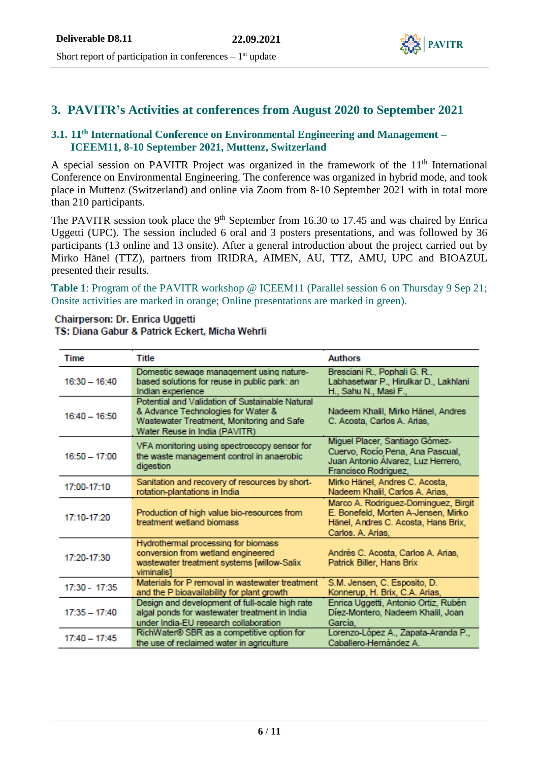

### **3. PAVITR's Activities at conferences from August 2020 to September 2021**

### **3.1. 11th International Conference on Environmental Engineering and Management – ICEEM11, 8-10 September 2021, Muttenz, Switzerland**

A special session on PAVITR Project was organized in the framework of the  $11<sup>th</sup>$  International Conference on Environmental Engineering. The conference was organized in hybrid mode, and took place in Muttenz (Switzerland) and online via Zoom from 8-10 September 2021 with in total more than 210 participants.

The PAVITR session took place the 9<sup>th</sup> September from 16.30 to 17.45 and was chaired by Enrica Uggetti (UPC). The session included 6 oral and 3 posters presentations, and was followed by 36 participants (13 online and 13 onsite). After a general introduction about the project carried out by Mirko Hänel (TTZ), partners from IRIDRA, AIMEN, AU, TTZ, AMU, UPC and BIOAZUL presented their results.

**Table 1**: Program of the PAVITR workshop @ ICEEM11 (Parallel session 6 on Thursday 9 Sep 21; Onsite activities are marked in orange; Online presentations are marked in green).

#### Chairperson: Dr. Enrica Uggetti TS: Diana Gabur & Patrick Eckert, Micha Wehrli

| Time            | Title                                                                                                                                                               | <b>Authors</b>                                                                                                                          |
|-----------------|---------------------------------------------------------------------------------------------------------------------------------------------------------------------|-----------------------------------------------------------------------------------------------------------------------------------------|
| $16:30 - 16:40$ | Domestic sewage management using nature-<br>based solutions for reuse in public park: an<br>Indian experience                                                       | Bresciani R., Pophali G. R.,<br>Labhasetwar P., Hirulkar D., Lakhlani<br>H., Sahu N., Masi F.,                                          |
| $16:40 - 16:50$ | Potential and Validation of Sustainable Natural<br>& Advance Technologies for Water &<br>Wastewater Treatment, Monitoring and Safe<br>Water Reuse in India (PAVITR) | Nadeem Khalil, Mirko Hänel, Andres<br>C. Acosta, Carlos A. Arias,                                                                       |
| $16:50 - 17:00$ | VFA monitoring using spectroscopy sensor for<br>the waste management control in anaerobic<br>digestion                                                              | Miguel Placer, Santiago Gómez-<br>Cuervo, Rocío Pena, Ana Pascual,<br>Juan Antonio Álvarez, Luz Herrero,<br>Francisco Rodriguez,        |
| 17:00-17:10     | Sanitation and recovery of resources by short-<br>rotation-plantations in India                                                                                     | Mirko Hänel, Andres C. Acosta,<br>Nadeem Khalil, Carlos A. Arias,                                                                       |
| 17:10-17:20     | Production of high value bio-resources from<br>treatment wetland biomass                                                                                            | Marco A. Rodriguez-Dominguez, Birgit<br>E. Bonefeld, Morten A-Jensen, Mirko<br>Hänel, Andres C. Acosta, Hans Brix,<br>Carlos. A. Arias, |
| 17:20-17:30     | Hydrothermal processing for biomass<br>conversion from wetland engineered<br>wastewater treatment systems [willow-Salix<br>viminalis                                | Andrés C. Acosta, Carlos A. Arias,<br>Patrick Biller, Hans Brix                                                                         |
| $17:30 - 17:35$ | Materials for P removal in wastewater treatment<br>and the P bioavailability for plant growth                                                                       | S.M. Jensen, C. Esposito, D.<br>Konnerup, H. Brix, C.A. Arias,                                                                          |
| $17:35 - 17:40$ | Design and development of full-scale high rate<br>algal ponds for wastewater treatment in India<br>under India-EU research collaboration                            | Enrica Uggetti, Antonio Ortiz, Rubén<br>Díez-Montero, Nadeem Khalil, Joan<br>García,                                                    |
| $17:40 - 17:45$ | RichWater® SBR as a competitive option for<br>the use of reclaimed water in agriculture                                                                             | Lorenzo-López A., Zapata-Aranda P.,<br>Caballero-Hernández A.                                                                           |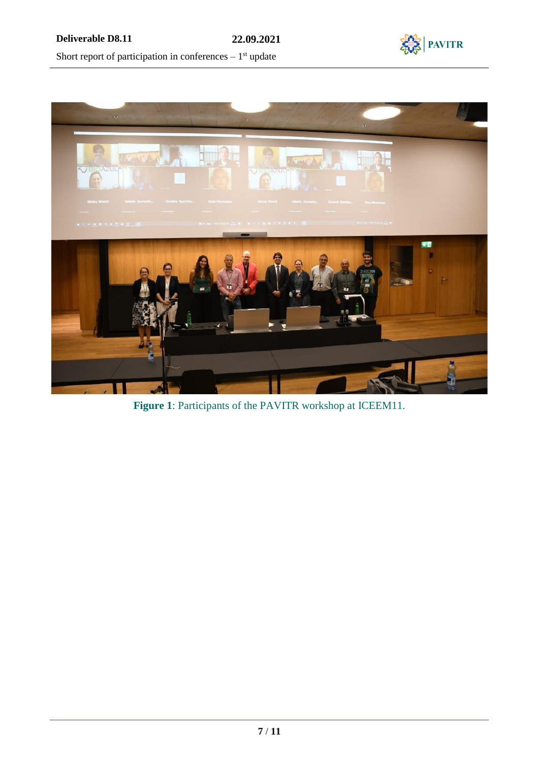



**Figure 1**: Participants of the PAVITR workshop at ICEEM11.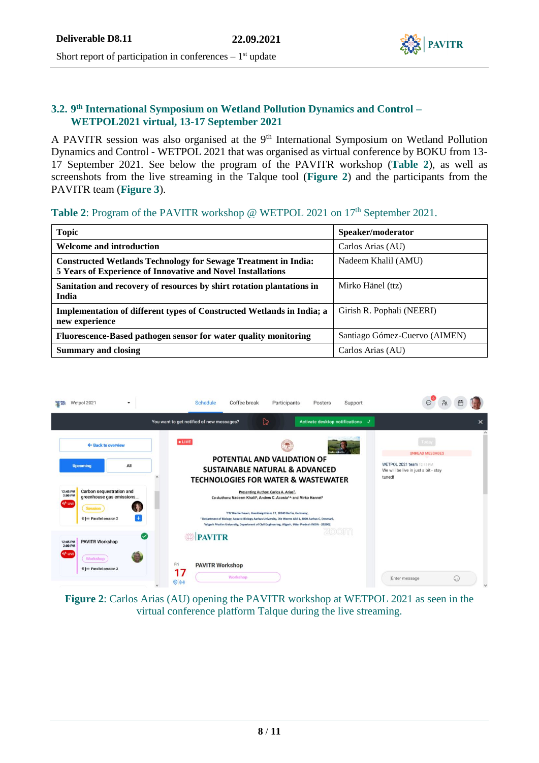

#### **3.2. 9 th International Symposium on Wetland Pollution Dynamics and Control – WETPOL2021 virtual, 13-17 September 2021**

A PAVITR session was also organised at the 9<sup>th</sup> International Symposium on Wetland Pollution Dynamics and Control - WETPOL 2021 that was organised as virtual conference by BOKU from 13- 17 September 2021. See below the program of the PAVITR workshop (**[Table](#page-7-0) 2**), as well as screenshots from the live streaming in the Talque tool (**Figure 2**) and the participants from the PAVITR team (**Figure 3**).

### <span id="page-7-0"></span>Table 2: Program of the PAVITR workshop @ WETPOL 2021 on 17<sup>th</sup> September 2021.

| <b>Topic</b>                                                                                                                         | Speaker/moderator             |
|--------------------------------------------------------------------------------------------------------------------------------------|-------------------------------|
| <b>Welcome and introduction</b>                                                                                                      | Carlos Arias (AU)             |
| <b>Constructed Wetlands Technology for Sewage Treatment in India:</b><br>5 Years of Experience of Innovative and Novel Installations | Nadeem Khalil (AMU)           |
| Sanitation and recovery of resources by shirt rotation plantations in<br>India                                                       | Mirko Hänel (ttz)             |
| Implementation of different types of Constructed Wetlands in India; a<br>new experience                                              | Girish R. Pophali (NEERI)     |
| Fluorescence-Based pathogen sensor for water quality monitoring                                                                      | Santiago Gómez-Cuervo (AIMEN) |
| <b>Summary and closing</b>                                                                                                           | Carlos Arias (AU)             |



**Figure 2**: Carlos Arias (AU) opening the PAVITR workshop at WETPOL 2021 as seen in the virtual conference platform Talque during the live streaming.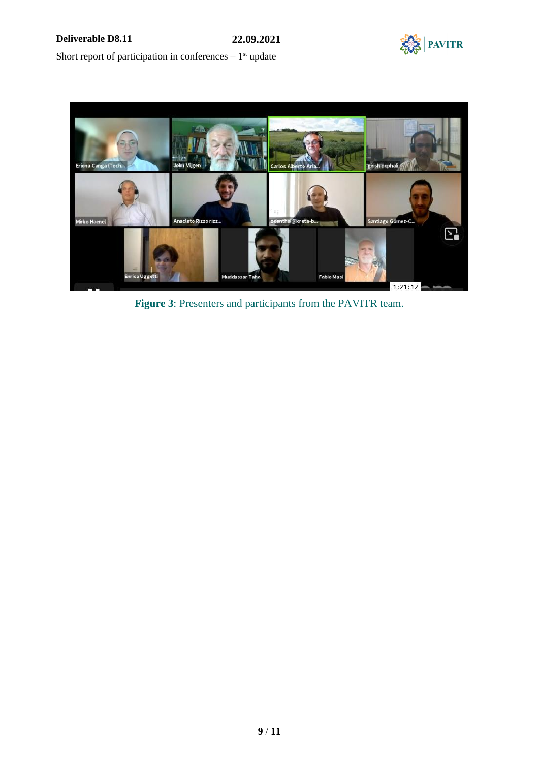



**Figure 3**: Presenters and participants from the PAVITR team.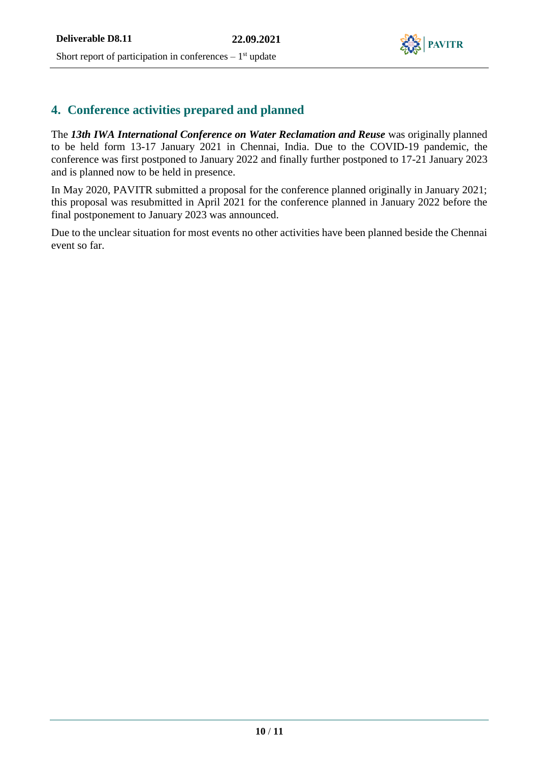

### **4. Conference activities prepared and planned**

The *13th IWA International Conference on Water Reclamation and Reuse* was originally planned to be held form 13-17 January 2021 in Chennai, India. Due to the COVID-19 pandemic, the conference was first postponed to January 2022 and finally further postponed to 17-21 January 2023 and is planned now to be held in presence.

In May 2020, PAVITR submitted a proposal for the conference planned originally in January 2021; this proposal was resubmitted in April 2021 for the conference planned in January 2022 before the final postponement to January 2023 was announced.

Due to the unclear situation for most events no other activities have been planned beside the Chennai event so far.